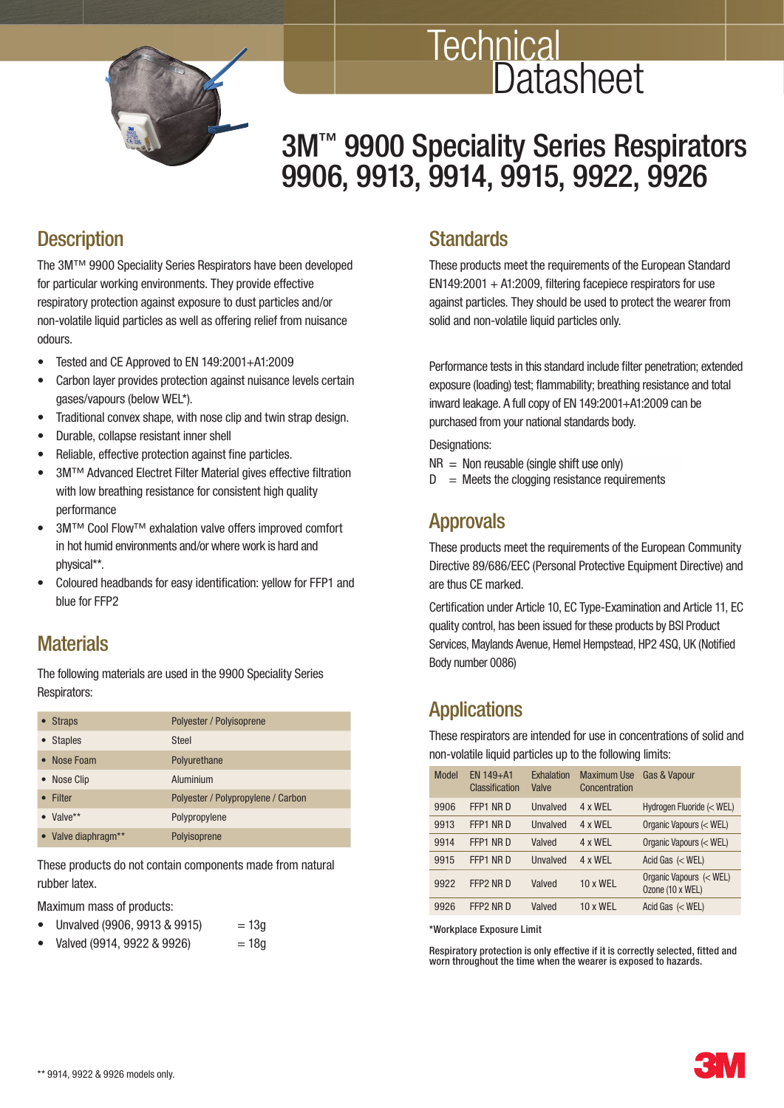

# **Technical Datasheet**

# 3M<sup>™</sup> 9900 Speciality Series Respirators 9906, 9913, 9914, 9915, 9922, 9926

# **Description**

 The 3M™ 9900 Speciality Series Respirators have been developed for particular working environments. They provide effective respiratory protection against exposure to dust particles and/or non-volatile liquid particles as well as offering relief from nuisance odours.

- Tested and CE Approved to EN 149:2001+A1:2009
- Carbon layer provides protection against nuisance levels certain gases/vapours (below WEL\*).
- Traditional convex shape, with nose clip and twin strap design.
- Durable, collapse resistant inner shell
- Reliable, effective protection against fine particles.
- 3M™ Advanced Electret Filter Material gives effective filtration with low breathing resistance for consistent high quality performance
- 3M™ Cool Flow™ exhalation valve offers improved comfort in hot humid environments and/or where work is hard and physical\*\*.
- Coloured headbands for easy identification: yellow for FFP1 and blue for FFP2

#### **Materials**

 The following materials are used in the 9900 Speciality Series Respirators:

| • Straps            | Polyester / Polyisoprene           |
|---------------------|------------------------------------|
| <b>Staples</b>      | <b>Steel</b>                       |
| • Nose Foam         | Polyurethane                       |
| • Nose Clip         | Aluminium                          |
| Filter              | Polyester / Polypropylene / Carbon |
| $\bullet$ Valve**   | Polypropylene                      |
| • Valve diaphragm** | Polyisoprene                       |

 These products do not contain components made from natural rubber latex.

Maximum mass of products:

- Unvalved (9906, 9913 & 9915)  $= 13g$
- $Valued (9914, 9922 & 9926) = 18q$

#### **Standards**

 These products meet the requirements of the European Standard  $EN149:2001 + A1:2009$ . filtering facepiece respirators for use against particles. They should be used to protect the wearer from solid and non-volatile liquid particles only.

Performance tests in this standard include filter penetration: extended exposure (loading) test; flammability; breathing resistance and total inward leakage. A full copy of EN 149:2001+A1:2009 can be purchased from your national standards body.

Designations:

- $NR = Non reusable (single shift use only)$
- $D =$  Meets the clogging resistance requirements

#### Approvals

 These products meet the requirements of the European Community Directive 89/686/EEC (Personal Protective Equipment Directive) and are thus CE marked.

Certification under Article 10, EC Type-Examination and Article 11, EC quality control, has been issued for these products by BSI Product Services, Maylands Avenue, Hemel Hempstead, HP2 4SQ, UK (Notified Body number 0086)

#### Applications

 These respirators are intended for use in concentrations of solid and non-volatile liquid particles up to the following limits:

| Model | $FN 149 + A1$<br>Classification | Exhalation<br><b>Valve</b> | <b>Maximum Use</b><br>Concentration | <b>Gas &amp; Vapour</b>                     |
|-------|---------------------------------|----------------------------|-------------------------------------|---------------------------------------------|
| 9906  | FFP1 NR D                       | <b>Unvalved</b>            | $4 \times WFI$                      | Hydrogen Fluoride (< WEL)                   |
| 9913  | FFP1 NR D                       | <b>Unvalved</b>            | $4 \times WFI$                      | Organic Vapours (< WEL)                     |
| 9914  | FFP1 NR D                       | Valved                     | $4 \times WFI$                      | Organic Vapours (< WEL)                     |
| 9915  | FFP1 NR D                       | Unvalved                   | $4 \times WFI$                      | Acid Gas $(<$ WEL)                          |
| 9922  | FFP2 NR D                       | Valved                     | $10 \times WFI$                     | Organic Vapours (< WEL)<br>Ozone (10 x WEL) |
| 9926  | FFP2 NR D                       | Valved                     | $10 \times WFI$                     | Acid Gas $(<$ WEL)                          |

\*Workplace Exposure Limit

Respiratory protection is only effective if it is correctly selected, fitted and worn throughout the time when the wearer is exposed to hazards.